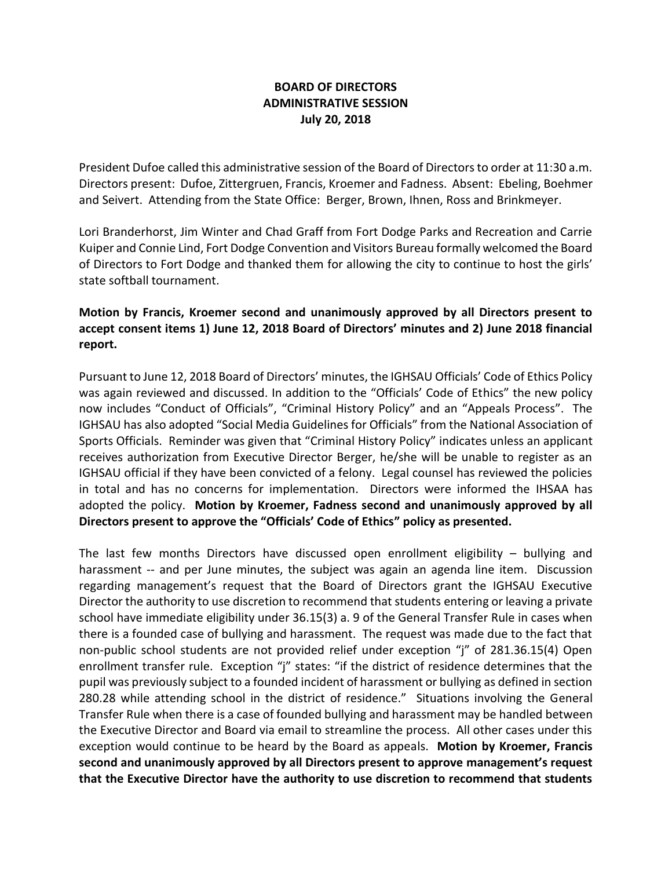## **BOARD OF DIRECTORS ADMINISTRATIVE SESSION July 20, 2018**

President Dufoe called this administrative session of the Board of Directors to order at 11:30 a.m. Directors present: Dufoe, Zittergruen, Francis, Kroemer and Fadness. Absent: Ebeling, Boehmer and Seivert. Attending from the State Office: Berger, Brown, Ihnen, Ross and Brinkmeyer.

Lori Branderhorst, Jim Winter and Chad Graff from Fort Dodge Parks and Recreation and Carrie Kuiper and Connie Lind, Fort Dodge Convention and Visitors Bureau formally welcomed the Board of Directors to Fort Dodge and thanked them for allowing the city to continue to host the girls' state softball tournament.

## **Motion by Francis, Kroemer second and unanimously approved by all Directors present to accept consent items 1) June 12, 2018 Board of Directors' minutes and 2) June 2018 financial report.**

Pursuant to June 12, 2018 Board of Directors' minutes, the IGHSAU Officials' Code of Ethics Policy was again reviewed and discussed. In addition to the "Officials' Code of Ethics" the new policy now includes "Conduct of Officials", "Criminal History Policy" and an "Appeals Process". The IGHSAU has also adopted "Social Media Guidelines for Officials" from the National Association of Sports Officials. Reminder was given that "Criminal History Policy" indicates unless an applicant receives authorization from Executive Director Berger, he/she will be unable to register as an IGHSAU official if they have been convicted of a felony. Legal counsel has reviewed the policies in total and has no concerns for implementation. Directors were informed the IHSAA has adopted the policy. **Motion by Kroemer, Fadness second and unanimously approved by all Directors present to approve the "Officials' Code of Ethics" policy as presented.**

The last few months Directors have discussed open enrollment eligibility – bullying and harassment -- and per June minutes, the subject was again an agenda line item. Discussion regarding management's request that the Board of Directors grant the IGHSAU Executive Director the authority to use discretion to recommend that students entering or leaving a private school have immediate eligibility under 36.15(3) a. 9 of the General Transfer Rule in cases when there is a founded case of bullying and harassment. The request was made due to the fact that non-public school students are not provided relief under exception "j" of 281.36.15(4) Open enrollment transfer rule. Exception "j" states: "if the district of residence determines that the pupil was previously subject to a founded incident of harassment or bullying as defined in section 280.28 while attending school in the district of residence." Situations involving the General Transfer Rule when there is a case of founded bullying and harassment may be handled between the Executive Director and Board via email to streamline the process. All other cases under this exception would continue to be heard by the Board as appeals. **Motion by Kroemer, Francis second and unanimously approved by all Directors present to approve management's request that the Executive Director have the authority to use discretion to recommend that students**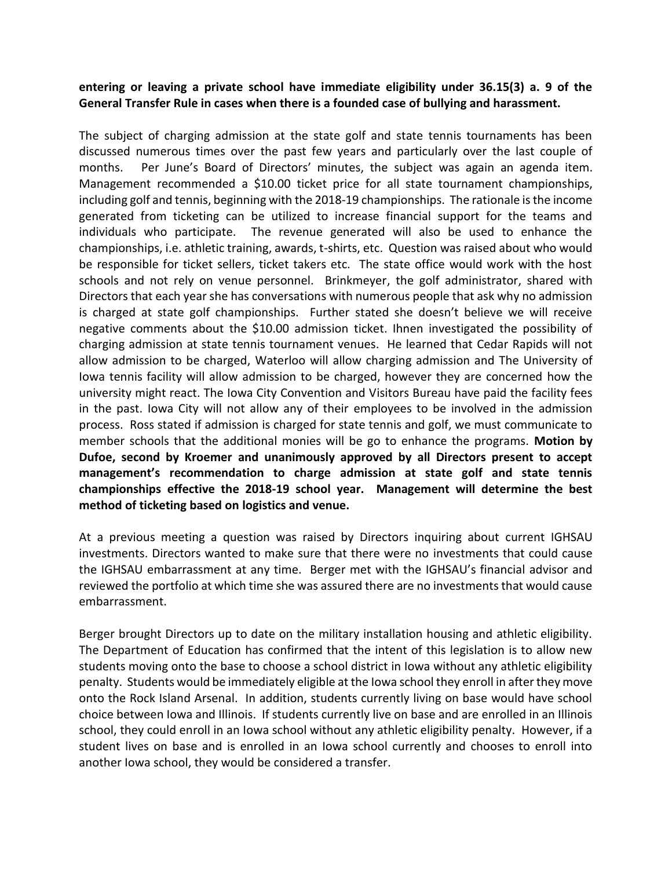## **entering or leaving a private school have immediate eligibility under 36.15(3) a. 9 of the General Transfer Rule in cases when there is a founded case of bullying and harassment.**

The subject of charging admission at the state golf and state tennis tournaments has been discussed numerous times over the past few years and particularly over the last couple of months. Per June's Board of Directors' minutes, the subject was again an agenda item. Management recommended a \$10.00 ticket price for all state tournament championships, including golf and tennis, beginning with the 2018-19 championships. The rationale is the income generated from ticketing can be utilized to increase financial support for the teams and individuals who participate. The revenue generated will also be used to enhance the championships, i.e. athletic training, awards, t-shirts, etc. Question was raised about who would be responsible for ticket sellers, ticket takers etc. The state office would work with the host schools and not rely on venue personnel. Brinkmeyer, the golf administrator, shared with Directors that each year she has conversations with numerous people that ask why no admission is charged at state golf championships. Further stated she doesn't believe we will receive negative comments about the \$10.00 admission ticket. Ihnen investigated the possibility of charging admission at state tennis tournament venues. He learned that Cedar Rapids will not allow admission to be charged, Waterloo will allow charging admission and The University of Iowa tennis facility will allow admission to be charged, however they are concerned how the university might react. The Iowa City Convention and Visitors Bureau have paid the facility fees in the past. Iowa City will not allow any of their employees to be involved in the admission process. Ross stated if admission is charged for state tennis and golf, we must communicate to member schools that the additional monies will be go to enhance the programs. **Motion by Dufoe, second by Kroemer and unanimously approved by all Directors present to accept management's recommendation to charge admission at state golf and state tennis championships effective the 2018-19 school year. Management will determine the best method of ticketing based on logistics and venue.** 

At a previous meeting a question was raised by Directors inquiring about current IGHSAU investments. Directors wanted to make sure that there were no investments that could cause the IGHSAU embarrassment at any time. Berger met with the IGHSAU's financial advisor and reviewed the portfolio at which time she was assured there are no investments that would cause embarrassment.

Berger brought Directors up to date on the military installation housing and athletic eligibility. The Department of Education has confirmed that the intent of this legislation is to allow new students moving onto the base to choose a school district in Iowa without any athletic eligibility penalty. Students would be immediately eligible at the Iowa school they enroll in after they move onto the Rock Island Arsenal. In addition, students currently living on base would have school choice between Iowa and Illinois. If students currently live on base and are enrolled in an Illinois school, they could enroll in an Iowa school without any athletic eligibility penalty. However, if a student lives on base and is enrolled in an Iowa school currently and chooses to enroll into another Iowa school, they would be considered a transfer.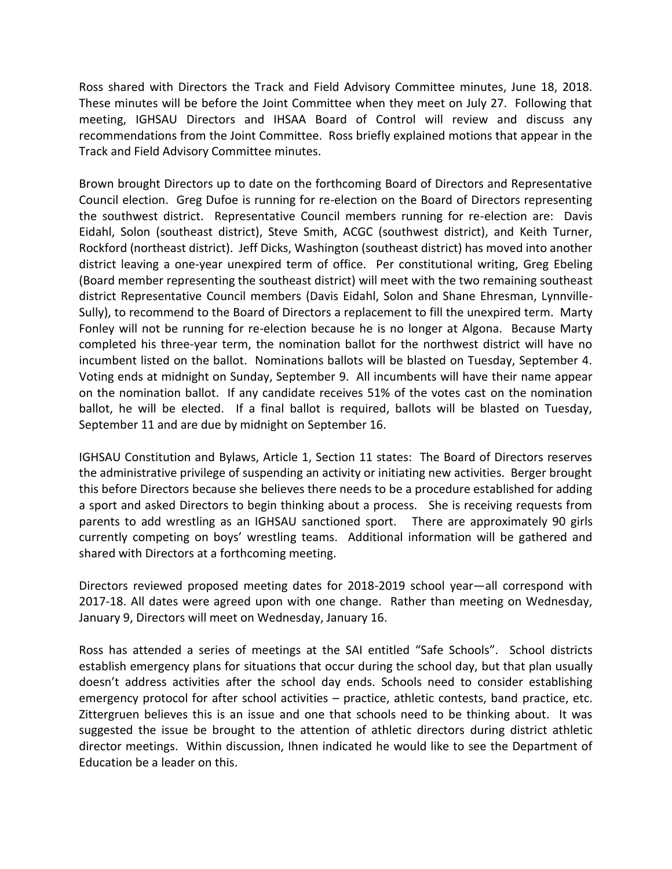Ross shared with Directors the Track and Field Advisory Committee minutes, June 18, 2018. These minutes will be before the Joint Committee when they meet on July 27. Following that meeting, IGHSAU Directors and IHSAA Board of Control will review and discuss any recommendations from the Joint Committee. Ross briefly explained motions that appear in the Track and Field Advisory Committee minutes.

Brown brought Directors up to date on the forthcoming Board of Directors and Representative Council election. Greg Dufoe is running for re-election on the Board of Directors representing the southwest district. Representative Council members running for re-election are: Davis Eidahl, Solon (southeast district), Steve Smith, ACGC (southwest district), and Keith Turner, Rockford (northeast district). Jeff Dicks, Washington (southeast district) has moved into another district leaving a one-year unexpired term of office. Per constitutional writing, Greg Ebeling (Board member representing the southeast district) will meet with the two remaining southeast district Representative Council members (Davis Eidahl, Solon and Shane Ehresman, Lynnville-Sully), to recommend to the Board of Directors a replacement to fill the unexpired term. Marty Fonley will not be running for re-election because he is no longer at Algona. Because Marty completed his three-year term, the nomination ballot for the northwest district will have no incumbent listed on the ballot. Nominations ballots will be blasted on Tuesday, September 4. Voting ends at midnight on Sunday, September 9. All incumbents will have their name appear on the nomination ballot. If any candidate receives 51% of the votes cast on the nomination ballot, he will be elected. If a final ballot is required, ballots will be blasted on Tuesday, September 11 and are due by midnight on September 16.

IGHSAU Constitution and Bylaws, Article 1, Section 11 states: The Board of Directors reserves the administrative privilege of suspending an activity or initiating new activities. Berger brought this before Directors because she believes there needs to be a procedure established for adding a sport and asked Directors to begin thinking about a process. She is receiving requests from parents to add wrestling as an IGHSAU sanctioned sport. There are approximately 90 girls currently competing on boys' wrestling teams. Additional information will be gathered and shared with Directors at a forthcoming meeting.

Directors reviewed proposed meeting dates for 2018-2019 school year—all correspond with 2017-18. All dates were agreed upon with one change. Rather than meeting on Wednesday, January 9, Directors will meet on Wednesday, January 16.

Ross has attended a series of meetings at the SAI entitled "Safe Schools". School districts establish emergency plans for situations that occur during the school day, but that plan usually doesn't address activities after the school day ends. Schools need to consider establishing emergency protocol for after school activities – practice, athletic contests, band practice, etc. Zittergruen believes this is an issue and one that schools need to be thinking about. It was suggested the issue be brought to the attention of athletic directors during district athletic director meetings. Within discussion, Ihnen indicated he would like to see the Department of Education be a leader on this.